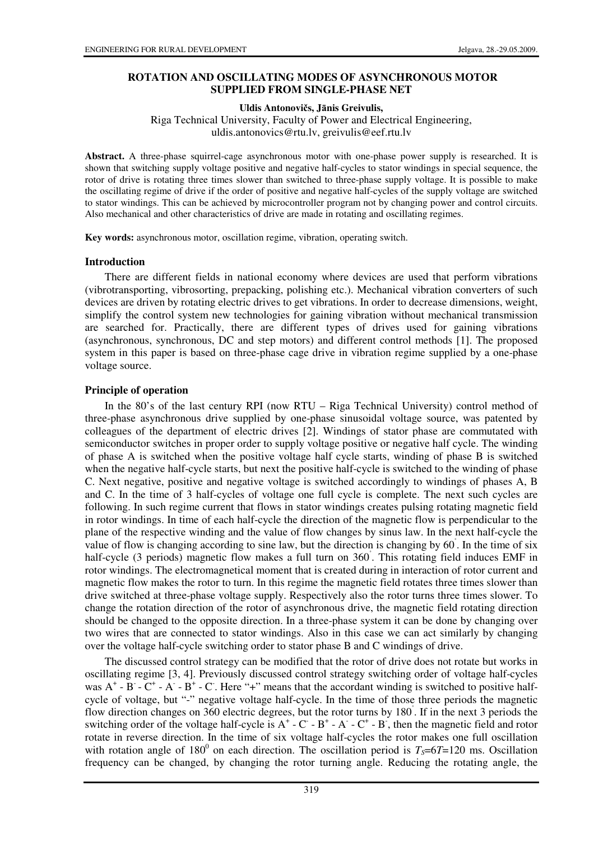# **ROTATION AND OSCILLATING MODES OF ASYNCHRONOUS MOTOR SUPPLIED FROM SINGLE-PHASE NET**

**Uldis Antonovi**č**s, J**ā**nis Greivulis,** 

Riga Technical University, Faculty of Power and Electrical Engineering, uldis.antonovics@rtu.lv, greivulis@eef.rtu.lv

**Abstract.** A three-phase squirrel-cage asynchronous motor with one-phase power supply is researched. It is shown that switching supply voltage positive and negative half-cycles to stator windings in special sequence, the rotor of drive is rotating three times slower than switched to three-phase supply voltage. It is possible to make the oscillating regime of drive if the order of positive and negative half-cycles of the supply voltage are switched to stator windings. This can be achieved by microcontroller program not by changing power and control circuits. Also mechanical and other characteristics of drive are made in rotating and oscillating regimes.

**Key words:** asynchronous motor, oscillation regime, vibration, operating switch.

#### **Introduction**

There are different fields in national economy where devices are used that perform vibrations (vibrotransporting, vibrosorting, prepacking, polishing etc.). Mechanical vibration converters of such devices are driven by rotating electric drives to get vibrations. In order to decrease dimensions, weight, simplify the control system new technologies for gaining vibration without mechanical transmission are searched for. Practically, there are different types of drives used for gaining vibrations (asynchronous, synchronous, DC and step motors) and different control methods [1]. The proposed system in this paper is based on three-phase cage drive in vibration regime supplied by a one-phase voltage source.

### **Principle of operation**

In the 80's of the last century RPI (now RTU – Riga Technical University) control method of three-phase asynchronous drive supplied by one-phase sinusoidal voltage source, was patented by colleagues of the department of electric drives [2]. Windings of stator phase are commutated with semiconductor switches in proper order to supply voltage positive or negative half cycle. The winding of phase A is switched when the positive voltage half cycle starts, winding of phase B is switched when the negative half-cycle starts, but next the positive half-cycle is switched to the winding of phase C. Next negative, positive and negative voltage is switched accordingly to windings of phases A, B and C. In the time of 3 half-cycles of voltage one full cycle is complete. The next such cycles are following. In such regime current that flows in stator windings creates pulsing rotating magnetic field in rotor windings. In time of each half-cycle the direction of the magnetic flow is perpendicular to the plane of the respective winding and the value of flow changes by sinus law. In the next half-cycle the value of flow is changing according to sine law, but the direction is changing by  $60^\circ$ . In the time of six half-cycle (3 periods) magnetic flow makes a full turn on 360°. This rotating field induces EMF in rotor windings. The electromagnetical moment that is created during in interaction of rotor current and magnetic flow makes the rotor to turn. In this regime the magnetic field rotates three times slower than drive switched at three-phase voltage supply. Respectively also the rotor turns three times slower. To change the rotation direction of the rotor of asynchronous drive, the magnetic field rotating direction should be changed to the opposite direction. In a three-phase system it can be done by changing over two wires that are connected to stator windings. Also in this case we can act similarly by changing over the voltage half-cycle switching order to stator phase B and C windings of drive.

The discussed control strategy can be modified that the rotor of drive does not rotate but works in oscillating regime [3, 4]. Previously discussed control strategy switching order of voltage half-cycles was  $A^+$  -  $B^-$  -  $C^+$  -  $A^-$  -  $B^+$  -  $C$ . Here "+" means that the accordant winding is switched to positive halfcycle of voltage, but "-" negative voltage half-cycle. In the time of those three periods the magnetic flow direction changes on 360 electric degrees, but the rotor turns by 180°. If in the next 3 periods the switching order of the voltage half-cycle is  $A^+$  -  $C^-$  -  $B^+$  -  $A^-$  -  $C^+$  -  $B^-$ , then the magnetic field and rotor rotate in reverse direction. In the time of six voltage half-cycles the rotor makes one full oscillation with rotation angle of  $180^{\circ}$  on each direction. The oscillation period is  $T_s = 6T = 120$  ms. Oscillation frequency can be changed, by changing the rotor turning angle. Reducing the rotating angle, the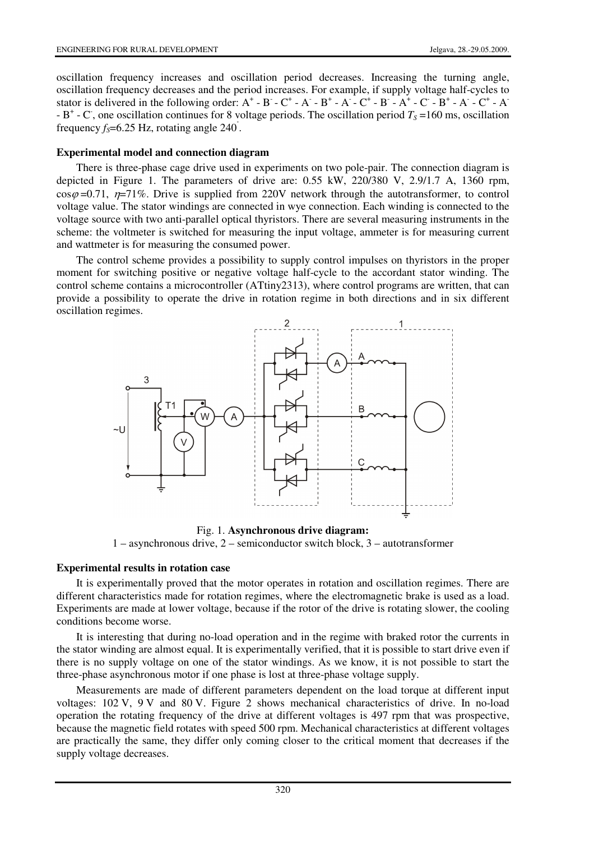oscillation frequency increases and oscillation period decreases. Increasing the turning angle, oscillation frequency decreases and the period increases. For example, if supply voltage half-cycles to stator is delivered in the following order:  $A^+$  - B - C<sup>+</sup> - A - B<sup>+</sup> - A - C<sup>+</sup> - B - A<sup>+</sup> - C - B<sup>+</sup> - A - C<sup>+</sup> - A  $- B^+ - C$ , one oscillation continues for 8 voltage periods. The oscillation period  $T_s = 160$  ms, oscillation frequency  $f_s$ =6.25 Hz, rotating angle 240<sup>°</sup>.

### **Experimental model and connection diagram**

There is three-phase cage drive used in experiments on two pole-pair. The connection diagram is depicted in Figure 1. The parameters of drive are: 0.55 kW, 220/380 V, 2.9/1.7 A, 1360 rpm,  $\cos\varphi = 0.71$ ,  $\eta = 71\%$ . Drive is supplied from 220V network through the autotransformer, to control voltage value. The stator windings are connected in wye connection. Each winding is connected to the voltage source with two anti-parallel optical thyristors. There are several measuring instruments in the scheme: the voltmeter is switched for measuring the input voltage, ammeter is for measuring current and wattmeter is for measuring the consumed power.

The control scheme provides a possibility to supply control impulses on thyristors in the proper moment for switching positive or negative voltage half-cycle to the accordant stator winding. The control scheme contains a microcontroller (ATtiny2313), where control programs are written, that can provide a possibility to operate the drive in rotation regime in both directions and in six different oscillation regimes.



Fig. 1. **Asynchronous drive diagram:** 

1 – asynchronous drive, 2 – semiconductor switch block, 3 – autotransformer

# **Experimental results in rotation case**

It is experimentally proved that the motor operates in rotation and oscillation regimes. There are different characteristics made for rotation regimes, where the electromagnetic brake is used as a load. Experiments are made at lower voltage, because if the rotor of the drive is rotating slower, the cooling conditions become worse.

It is interesting that during no-load operation and in the regime with braked rotor the currents in the stator winding are almost equal. It is experimentally verified, that it is possible to start drive even if there is no supply voltage on one of the stator windings. As we know, it is not possible to start the three-phase asynchronous motor if one phase is lost at three-phase voltage supply.

Measurements are made of different parameters dependent on the load torque at different input voltages: 102 V, 9 V and 80 V. Figure 2 shows mechanical characteristics of drive. In no-load operation the rotating frequency of the drive at different voltages is 497 rpm that was prospective, because the magnetic field rotates with speed 500 rpm. Mechanical characteristics at different voltages are practically the same, they differ only coming closer to the critical moment that decreases if the supply voltage decreases.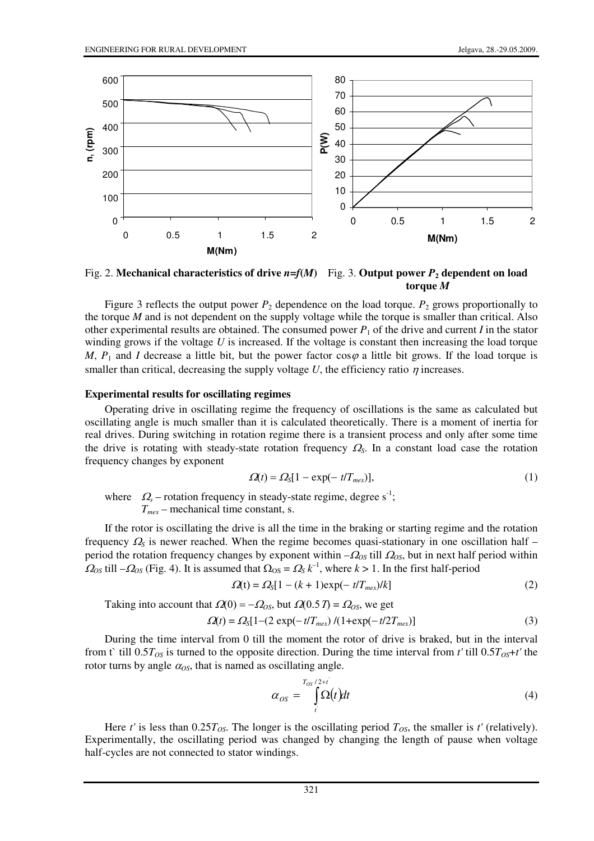

Fig. 2. **Mechanical characteristics of drive**  $n = f(M)$  Fig. 3. Output power  $P_2$  dependent on load **torque** *M*

Figure 3 reflects the output power  $P_2$  dependence on the load torque.  $P_2$  grows proportionally to the torque *M* and is not dependent on the supply voltage while the torque is smaller than critical. Also other experimental results are obtained. The consumed power  $P_1$  of the drive and current *I* in the stator winding grows if the voltage *U* is increased. If the voltage is constant then increasing the load torque *M*,  $P_1$  and *I* decrease a little bit, but the power factor cos $\varphi$  a little bit grows. If the load torque is smaller than critical, decreasing the supply voltage *U*, the efficiency ratio  $\eta$  increases.

#### **Experimental results for oscillating regimes**

Operating drive in oscillating regime the frequency of oscillations is the same as calculated but oscillating angle is much smaller than it is calculated theoretically. There is a moment of inertia for real drives. During switching in rotation regime there is a transient process and only after some time the drive is rotating with steady-state rotation frequency <sup>Ω</sup>*S*. In a constant load case the rotation frequency changes by exponent

$$
\Omega(t) = \Omega_{\rm S} [1 - \exp(-\, t / T_{\text{max}})],\tag{1}
$$

where  $\Omega_s$  – rotation frequency in steady-state regime, degree s<sup>-1</sup>; *Tmex* – mechanical time constant, s.

If the rotor is oscillating the drive is all the time in the braking or starting regime and the rotation frequency  $\Omega$ <sub>S</sub> is newer reached. When the regime becomes quasi-stationary in one oscillation half – period the rotation frequency changes by exponent within –<sup>Ω</sup>*OS* till <sup>Ω</sup>*OS*, but in next half period within  $\Omega_{OS}$  till  $-\Omega_{OS}$  (Fig. 4). It is assumed that  $\Omega_{OS} = \Omega_{S} k^{-1}$ , where  $k > 1$ . In the first half-period

$$
\Omega(t) = \Omega_s[1 - (k+1) \exp(-t/T_{\text{max}})/k]
$$
\n(2)

Taking into account that  $\Omega(0) = -\Omega_{OS}$ , but  $\Omega(0.5T) = \Omega_{OS}$ , we get

$$
\Omega(t) = \Omega_{\rm S} [1 - (2 \exp(-t/T_{\text{max}})/(1 + \exp(-t/2T_{\text{max}}))]
$$
(3)

During the time interval from 0 till the moment the rotor of drive is braked, but in the interval from t` till  $0.5T_{OS}$  is turned to the opposite direction. During the time interval from *t'* till  $0.5T_{OS}+t'$  the rotor turns by angle  $\alpha_{OS}$ , that is named as oscillating angle.

$$
\alpha_{OS} = \int_{t}^{T_{OS}/2+t} \Omega(t) dt
$$
 (4)

Here *t'* is less than  $0.25T<sub>OS</sub>$ . The longer is the oscillating period  $T<sub>OS</sub>$ , the smaller is *t'* (relatively). Experimentally, the oscillating period was changed by changing the length of pause when voltage half-cycles are not connected to stator windings.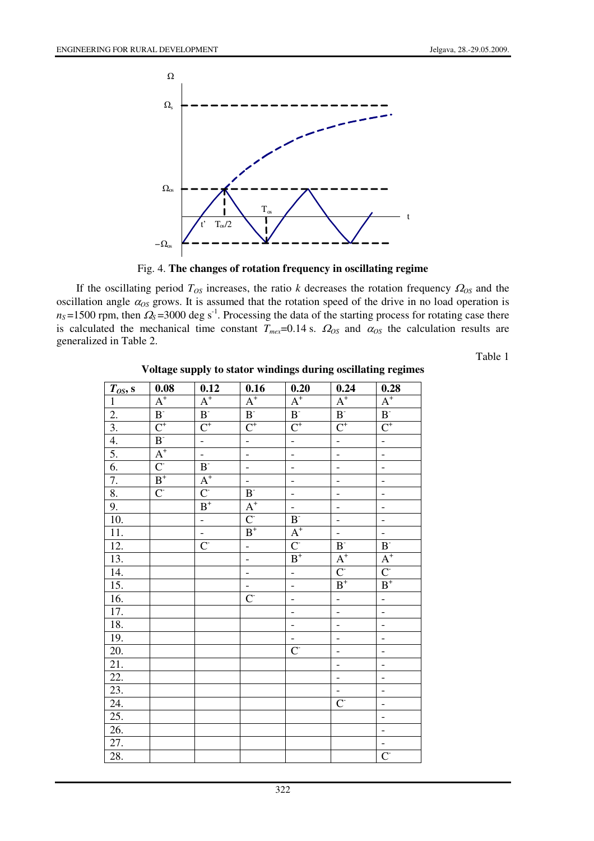

Fig. 4. **The changes of rotation frequency in oscillating regime** 

If the oscillating period  $T_{OS}$  increases, the ratio *k* decreases the rotation frequency  $\Omega_{OS}$  and the oscillation angle  $\alpha_{OS}$  grows. It is assumed that the rotation speed of the drive in no load operation is  $n<sub>S</sub>$  =1500 rpm, then  $\Omega$ <sub>S</sub> =3000 deg s<sup>-1</sup>. Processing the data of the starting process for rotating case there is calculated the mechanical time constant  $T_{max}=0.14$  s.  $\Omega_{OS}$  and  $\alpha_{OS}$  the calculation results are generalized in Table 2.

Table 1

|                       | 0.08                               | 0.12                       | 0.16                      | 0.20                        | 0.24                      | 0.28                      |
|-----------------------|------------------------------------|----------------------------|---------------------------|-----------------------------|---------------------------|---------------------------|
| $\frac{T_{OS}, s}{1}$ | $\overline{A^+}$                   | $A^+$                      | $A^+$                     | $\overline{A^+}$            | $\overline{A^+}$          | $\overline{A^+}$          |
| $\overline{2}$ .      | $\overline{\mathbf{B}^{\text{-}}}$ | B <sub>1</sub>             | $B-$                      | $\overline{\mathbf{B}^{*}}$ | $\mathbf{B}^{\text{-}}$   | $\mathbf{B}^{\text{-}}$   |
| $\overline{3}$ .      | $\overline{C^+}$                   | $C^+$                      | $\overline{\text{C}^{+}}$ | $\overline{\text{C}^{+}}$   | $\overline{\text{C}^{+}}$ | $\overline{\text{C}^{+}}$ |
| 4.                    | $B-$                               | ÷,                         | ÷,                        | ÷,                          | l.<br>D                   | $\mathbb{L}$              |
| 5.                    | $A^{\scriptscriptstyle +}$         | ÷,                         | ÷                         | $\overline{a}$              | $\overline{a}$            | ÷,                        |
| 6.                    | $\overline{C}$                     | $\mathbf{B}^{\text{-}}$    | ÷,                        | $\overline{a}$              | $\frac{1}{\sqrt{2}}$      | $\overline{a}$            |
| 7.                    | $\mbox{\bf B}^+$                   | $A^{\scriptscriptstyle +}$ | ÷,                        | $\overline{a}$              | $\overline{a}$            | $\overline{a}$            |
| 8.                    | $\mathbf{C}^{\mathsf{c}}$          | $\overline{C}$             | $\mathbf{B}$              | $\overline{a}$              | $\overline{a}$            | $\overline{a}$            |
| 9.                    |                                    | $\mbox{\bf B}^+$           | $A^+$                     | ÷,                          | $\overline{a}$            | $\overline{a}$            |
| $\overline{10}$ .     |                                    | $\overline{a}$             | $\overline{C}$            | B <sub>z</sub>              | ÷,                        | $\frac{1}{\sqrt{2}}$      |
| 11.                   |                                    | ÷,                         | $\overline{B}^+$          | $\textbf{A}^+$              | $\overline{\phantom{a}}$  | Ê,                        |
| $\overline{12}$ .     |                                    | $\overline{C}$             | $\overline{a}$            | $\overline{C}$              | B <sub>z</sub>            | $\mathbf{B}^{\text{-}}$   |
| 13.                   |                                    |                            | $\overline{a}$            | $\mbox{\bf B}^+$            | $A^+$                     | $\frac{A^*}{C}$           |
| $\overline{14}$ .     |                                    |                            | ÷,                        | Ê,                          | $\overline{C}$            |                           |
| $\overline{15}$ .     |                                    |                            | ÷,                        | $\overline{a}$              | $\mbox{\bf B}^+$          | $\mbox{\bf B}^+$          |
| 16.                   |                                    |                            | $\mathbf{C}^{\mathsf{c}}$ | $\overline{a}$              | ÷,                        | ÷,                        |
| 17.                   |                                    |                            |                           | $\overline{a}$              | Ξ                         | ÷,                        |
| 18.                   |                                    |                            |                           | ÷,                          | ÷,                        | ÷,                        |
| 19.                   |                                    |                            |                           | L,                          | $\frac{1}{\sqrt{2}}$      | $\frac{1}{\sqrt{2}}$      |
| $\overline{20}$ .     |                                    |                            |                           | $\overline{C}$              | $\overline{a}$            | $\overline{a}$            |
| 21.                   |                                    |                            |                           |                             | $\overline{a}$            | $\overline{a}$            |
| $\overline{22}$ .     |                                    |                            |                           |                             | ÷,                        | $\overline{\phantom{a}}$  |
| 23.                   |                                    |                            |                           |                             | $\frac{1}{\sqrt{2}}$      | $\overline{a}$            |
| 24.                   |                                    |                            |                           |                             | $\mathbf{C}$              | -                         |
| 25.                   |                                    |                            |                           |                             |                           | $\blacksquare$            |
| 26.                   |                                    |                            |                           |                             |                           | ÷,                        |
| 27.                   |                                    |                            |                           |                             |                           | ÷,                        |
| 28.                   |                                    |                            |                           |                             |                           | $\overline{C}$            |

**Voltage supply to stator windings during oscillating regimes**